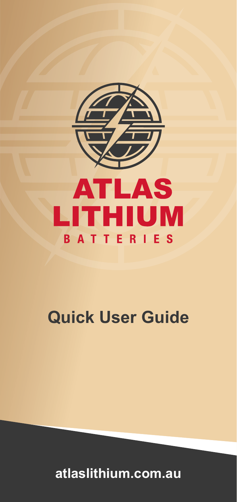

# **Quick User Guide**

**atlaslithium.com.au**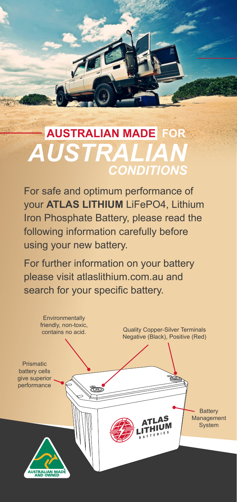## *CONDITIONS AUSTRALIAN* **AUSTRALIAN MADE FOR**

For safe and optimum performance of your **ATLAS LITHIUM** LiFePO4, Lithium Iron Phosphate Battery, please read the following information carefully before using your new battery.

For further information on your battery please visit atlaslithium.com.au and search for your specific battery.

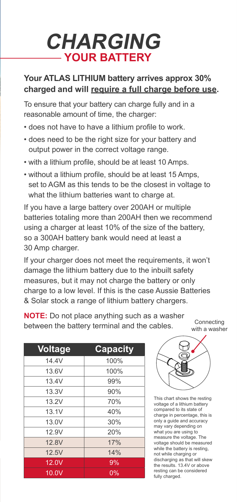## **CHARGING YOUR BATTERY**

#### **Your ATLAS LITHIUM battery arrives approx 30% charged and will require a full charge before use.**

To ensure that your battery can charge fully and in a reasonable amount of time, the charger:

- does not have to have a lithium profile to work.
- does need to be the right size for your battery and output power in the correct voltage range.
- with a lithium profile, should be at least 10 Amps.
- without a lithium profile, should be at least 15 Amps, set to AGM as this tends to be the closest in voltage to what the lithium batteries want to charge at.

If you have a large battery over 200AH or multiple batteries totaling more than 200AH then we recommend using a charger at least 10% of the size of the battery, so a 300AH battery bank would need at least a 30 Amp charger.

If your charger does not meet the requirements, it won't damage the lithium battery due to the inbuilt safety measures, but it may not charge the battery or only charge to a low level. If this is the case Aussie Batteries & Solar stock a range of lithium battery chargers.

**NOTE:** Do not place anything such as a washer between the battery terminal and the cables.

| <b>Voltage</b> | <b>Capacity</b> |
|----------------|-----------------|
| 14 4V          | 100%            |
| 13.6V          | 100%            |
| 13.4V          | 99%             |
| 13.3V          | 90%             |
| 13.2V          | 70%             |
| 13.1V          | 40%             |
| 13.0V          | 30%             |
| 12.9V          | 20%             |
| 12 8V          | 17%             |
| 12.5V          | 14%             |
| 12.0V          | 9%              |
| 10.0V          | 0%              |



Connecting

This chart shows the resting voltage of a lithium battery compared to its state of charge in percentage, this is only a guide and accuracy may vary depending on what you are using to measure the voltage. The voltage should be measured while the battery is resting, not while charging or discharging as that will skew the results. 13.4V or above resting can be considered fully charged.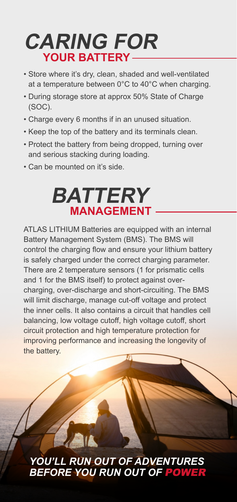## **CARING FOR YOUR BATTERY**

- Store where it's dry, clean, shaded and well-ventilated at a temperature between 0°C to 40°C when charging.
- During storage store at approx 50% State of Charge (SOC).
- Charge every 6 months if in an unused situation.
- Keep the top of the battery and its terminals clean.
- Protect the battery from being dropped, turning over and serious stacking during loading.
- Can be mounted on it's side.

# **BATTERY MANAGEMENT**

ATLAS LITHIUM Batteries are equipped with an internal Battery Management System (BMS). The BMS will control the charging flow and ensure your lithium battery is safely charged under the correct charging parameter. There are 2 temperature sensors (1 for prismatic cells and 1 for the BMS itself) to protect against overcharging, over-discharge and short-circuiting. The BMS will limit discharge, manage cut-off voltage and protect the inner cells. It also contains a circuit that handles cell balancing, low voltage cutoff, high voltage cutoff, short circuit protection and high temperature protection for improving performance and increasing the longevity of the battery.

### *YOU'LL RUN OUT OF ADVENTURES BEFORE YOU RUN OUT OF* POWER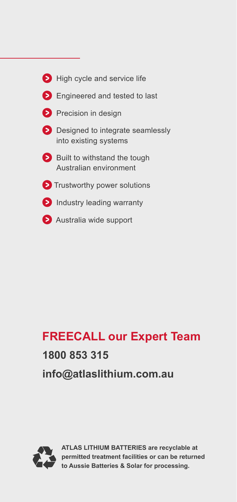| $\triangleright$ High cycle and service life                               |
|----------------------------------------------------------------------------|
| <b>Engineered and tested to last</b>                                       |
| <b>D</b> Precision in design                                               |
| $\triangleright$ Designed to integrate seamlessly<br>into existing systems |
| Built to withstand the tough<br>Australian environment                     |
| $\triangleright$ Trustworthy power solutions                               |
| <b>D</b> Industry leading warranty                                         |
| Australia wide support                                                     |

### **FREECALL our Expert Team**

### **1800 853 315**

**info@atlaslithium.com.au**



**ATLAS LITHIUM BATTERIES are recyclable at permitted treatment facilities or can be returned to Aussie Batteries & Solar for processing.**